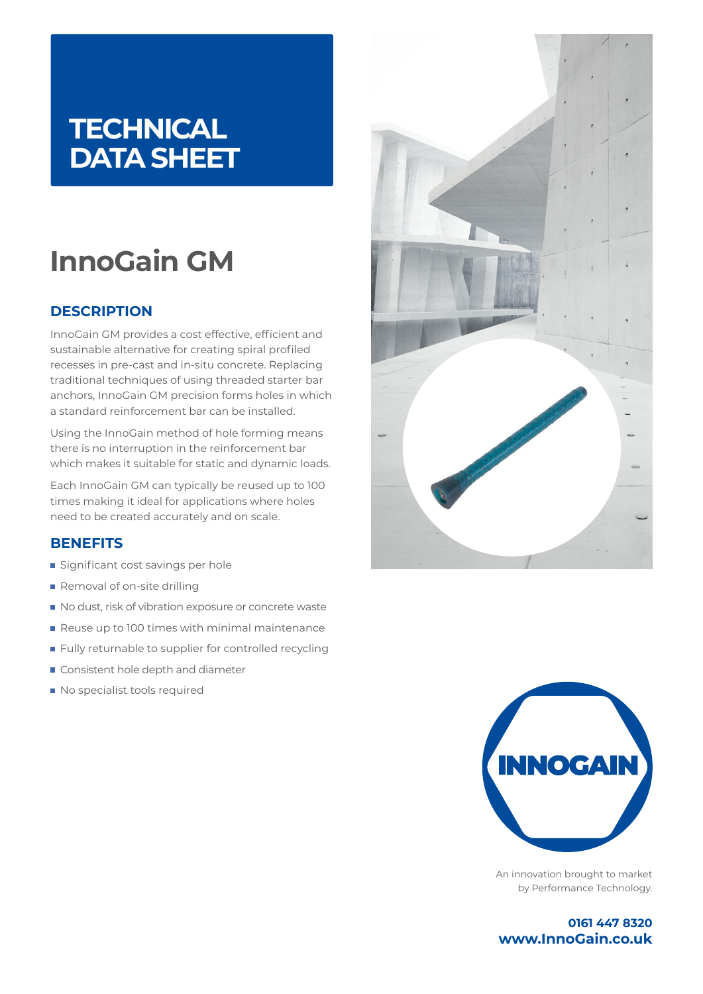### **TECHNICAL DATA SHEET**

# **InnoGain GM**

### **DESCRIPTION**

InnoGain GM provides a cost effective, efficient and sustainable alternative for creating spiral profiled recesses in pre-cast and in-situ concrete. Replacing traditional techniques of using threaded starter bar anchors, InnoGain GM precision forms holes in which a standard reinforcement bar can be installed.

Using the InnoGain method of hole forming means there is no interruption in the reinforcement bar which makes it suitable for static and dynamic loads.

Each InnoGain GM can typically be reused up to 100 times making it ideal for applications where holes need to be created accurately and on scale.

### **BENEFITS**

- Significant cost savings per hole
- Removal of on-site drilling
- No dust, risk of vibration exposure or concrete waste
- Reuse up to 100 times with minimal maintenance
- **Fully returnable to supplier for controlled recycling**
- Consistent hole depth and diameter
- No specialist tools required





An innovation brought to market by Performance Technology.

**0161 447 8320 www.InnoGain.co.uk**